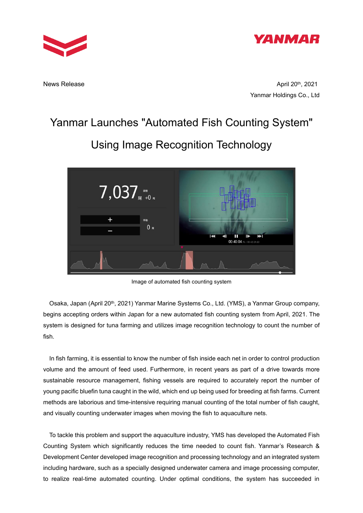



**News Release** 

April 20<sup>th</sup>, 2021 Yanmar Holdings Co., Ltd

## Yanmar Launches "Automated Fish Counting System"

# $7,037$  $0<sub>x</sub>$

Image of automated fish counting system

Osaka, Japan (April 20<sup>th</sup>, 2021) Yanmar Marine Systems Co., Ltd. (YMS), a Yanmar Group company, begins accepting orders within Japan for a new automated fish counting system from April, 2021. The system is designed for tuna farming and utilizes image recognition technology to count the number of fish.

In fish farming, it is essential to know the number of fish inside each net in order to control production volume and the amount of feed used. Furthermore, in recent years as part of a drive towards more sustainable resource management, fishing vessels are required to accurately report the number of young pacific bluefin tuna caught in the wild, which end up being used for breeding at fish farms. Current methods are laborious and time-intensive requiring manual counting of the total number of fish caught, and visually counting underwater images when moving the fish to aquaculture nets.

To tackle this problem and support the aquaculture industry, YMS has developed the Automated Fish Counting System which significantly reduces the time needed to count fish. Yanmar's Research & Development Center developed image recognition and processing technology and an integrated system including hardware, such as a specially designed underwater camera and image processing computer, to realize real-time automated counting. Under optimal conditions, the system has succeeded in

# Using Image Recognition Technology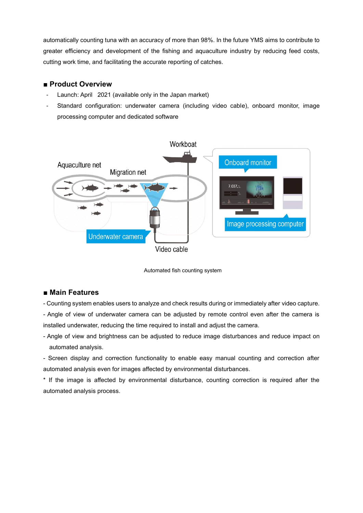automatically counting tuna with an accuracy of more than 98%. In the future YMS aims to contribute to greater efficiency and development of the fishing and aquaculture industry by reducing feed costs, cutting work time, and facilitating the accurate reporting of catches.

#### **■ Product Overview**

- Launch: April 2021 (available only in the Japan market)
- Standard configuration: underwater camera (including video cable), onboard monitor, image processing computer and dedicated software



Automated fish counting system

### **■ Main Features**

- Counting system enables users to analyze and check results during or immediately after video capture.

- Angle of view of underwater camera can be adjusted by remote control even after the camera is installed underwater, reducing the time required to install and adjust the camera.

- Angle of view and brightness can be adjusted to reduce image disturbances and reduce impact on automated analysis.

- Screen display and correction functionality to enable easy manual counting and correction after automated analysis even for images affected by environmental disturbances.

\* If the image is affected by environmental disturbance, counting correction is required after the automated analysis process.